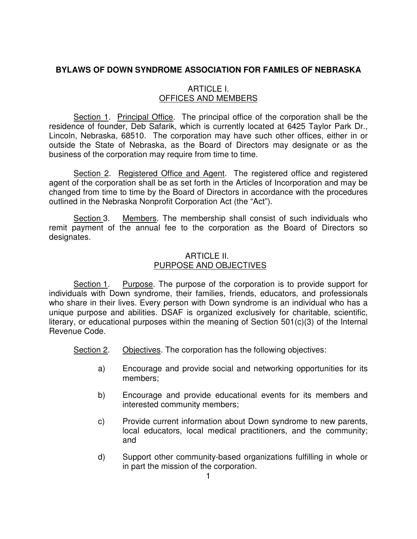# **BYLAWS OF DOWN SYNDROME ASSOCIATION FOR FAMILES OF NEBRASKA**

# ARTICLE I. OFFICES AND MEMBERS

 Section 1. Principal Office. The principal office of the corporation shall be the residence of founder, Deb Safarik, which is currently located at 6425 Taylor Park Dr., Lincoln, Nebraska, 68510. The corporation may have such other offices, either in or outside the State of Nebraska, as the Board of Directors may designate or as the business of the corporation may require from time to time.

 Section 2. Registered Office and Agent. The registered office and registered agent of the corporation shall be as set forth in the Articles of Incorporation and may be changed from time to time by the Board of Directors in accordance with the procedures outlined in the Nebraska Nonprofit Corporation Act (the "Act").

 Section 3. Members. The membership shall consist of such individuals who remit payment of the annual fee to the corporation as the Board of Directors so designates.

# ARTICLE II. PURPOSE AND OBJECTIVES

 Section 1. Purpose. The purpose of the corporation is to provide support for individuals with Down syndrome, their families, friends, educators, and professionals who share in their lives. Every person with Down syndrome is an individual who has a unique purpose and abilities. DSAF is organized exclusively for charitable, scientific, literary, or educational purposes within the meaning of Section 501(c)(3) of the Internal Revenue Code.

Section 2. Objectives. The corporation has the following objectives:

- a) Encourage and provide social and networking opportunities for its members;
- b) Encourage and provide educational events for its members and interested community members;
- c) Provide current information about Down syndrome to new parents, local educators, local medical practitioners, and the community; and
- d) Support other community-based organizations fulfilling in whole or in part the mission of the corporation.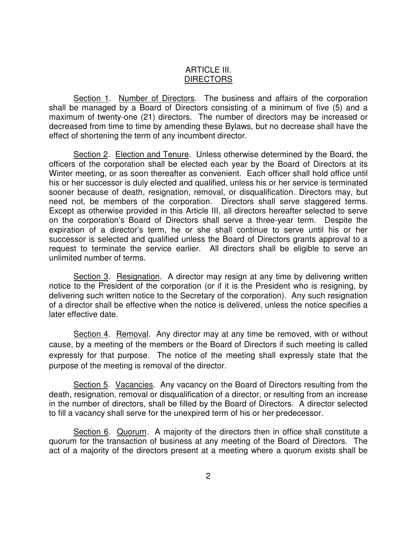## ARTICLE III. **DIRECTORS**

 Section 1. Number of Directors. The business and affairs of the corporation shall be managed by a Board of Directors consisting of a minimum of five (5) and a maximum of twenty-one (21) directors. The number of directors may be increased or decreased from time to time by amending these Bylaws, but no decrease shall have the effect of shortening the term of any incumbent director.

Section 2. Election and Tenure. Unless otherwise determined by the Board, the officers of the corporation shall be elected each year by the Board of Directors at its Winter meeting, or as soon thereafter as convenient. Each officer shall hold office until his or her successor is duly elected and qualified, unless his or her service is terminated sooner because of death, resignation, removal, or disqualification. Directors may, but need not, be members of the corporation. Directors shall serve staggered terms. Except as otherwise provided in this Article III, all directors hereafter selected to serve on the corporation's Board of Directors shall serve a three-year term. Despite the expiration of a director's term, he or she shall continue to serve until his or her successor is selected and qualified unless the Board of Directors grants approval to a request to terminate the service earlier. All directors shall be eligible to serve an unlimited number of terms.

Section 3. Resignation. A director may resign at any time by delivering written notice to the President of the corporation (or if it is the President who is resigning, by delivering such written notice to the Secretary of the corporation). Any such resignation of a director shall be effective when the notice is delivered, unless the notice specifies a later effective date.

Section 4. Removal. Any director may at any time be removed, with or without cause, by a meeting of the members or the Board of Directors if such meeting is called expressly for that purpose. The notice of the meeting shall expressly state that the purpose of the meeting is removal of the director.

Section 5. Vacancies. Any vacancy on the Board of Directors resulting from the death, resignation, removal or disqualification of a director, or resulting from an increase in the number of directors, shall be filled by the Board of Directors. A director selected to fill a vacancy shall serve for the unexpired term of his or her predecessor.

 Section 6. Quorum. A majority of the directors then in office shall constitute a quorum for the transaction of business at any meeting of the Board of Directors. The act of a majority of the directors present at a meeting where a quorum exists shall be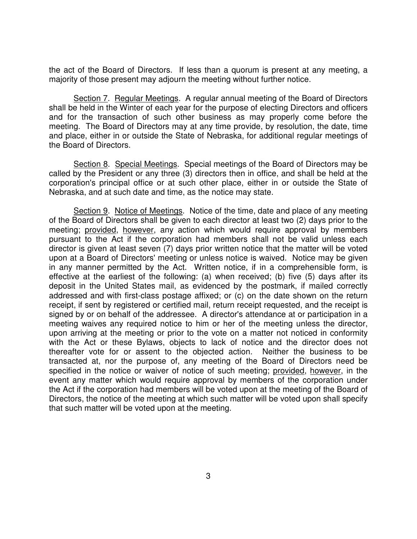the act of the Board of Directors. If less than a quorum is present at any meeting, a majority of those present may adjourn the meeting without further notice.

 Section 7. Regular Meetings. A regular annual meeting of the Board of Directors shall be held in the Winter of each year for the purpose of electing Directors and officers and for the transaction of such other business as may properly come before the meeting. The Board of Directors may at any time provide, by resolution, the date, time and place, either in or outside the State of Nebraska, for additional regular meetings of the Board of Directors.

 Section 8. Special Meetings. Special meetings of the Board of Directors may be called by the President or any three (3) directors then in office, and shall be held at the corporation's principal office or at such other place, either in or outside the State of Nebraska, and at such date and time, as the notice may state.

 Section 9. Notice of Meetings. Notice of the time, date and place of any meeting of the Board of Directors shall be given to each director at least two (2) days prior to the meeting; provided, however, any action which would require approval by members pursuant to the Act if the corporation had members shall not be valid unless each director is given at least seven (7) days prior written notice that the matter will be voted upon at a Board of Directors' meeting or unless notice is waived. Notice may be given in any manner permitted by the Act. Written notice, if in a comprehensible form, is effective at the earliest of the following: (a) when received; (b) five (5) days after its deposit in the United States mail, as evidenced by the postmark, if mailed correctly addressed and with first-class postage affixed; or (c) on the date shown on the return receipt, if sent by registered or certified mail, return receipt requested, and the receipt is signed by or on behalf of the addressee. A director's attendance at or participation in a meeting waives any required notice to him or her of the meeting unless the director, upon arriving at the meeting or prior to the vote on a matter not noticed in conformity with the Act or these Bylaws, objects to lack of notice and the director does not thereafter vote for or assent to the objected action. Neither the business to be transacted at, nor the purpose of, any meeting of the Board of Directors need be specified in the notice or waiver of notice of such meeting; provided, however, in the event any matter which would require approval by members of the corporation under the Act if the corporation had members will be voted upon at the meeting of the Board of Directors, the notice of the meeting at which such matter will be voted upon shall specify that such matter will be voted upon at the meeting.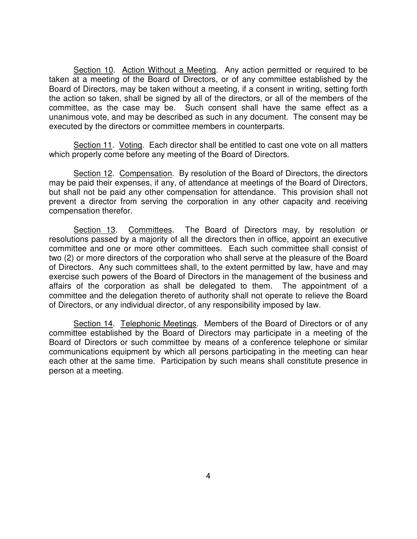Section 10. Action Without a Meeting. Any action permitted or required to be taken at a meeting of the Board of Directors, or of any committee established by the Board of Directors, may be taken without a meeting, if a consent in writing, setting forth the action so taken, shall be signed by all of the directors, or all of the members of the committee, as the case may be. Such consent shall have the same effect as a unanimous vote, and may be described as such in any document. The consent may be executed by the directors or committee members in counterparts.

 Section 11. Voting. Each director shall be entitled to cast one vote on all matters which properly come before any meeting of the Board of Directors.

 Section 12. Compensation. By resolution of the Board of Directors, the directors may be paid their expenses, if any, of attendance at meetings of the Board of Directors, but shall not be paid any other compensation for attendance. This provision shall not prevent a director from serving the corporation in any other capacity and receiving compensation therefor.

Section 13. Committees. The Board of Directors may, by resolution or resolutions passed by a majority of all the directors then in office, appoint an executive committee and one or more other committees. Each such committee shall consist of two (2) or more directors of the corporation who shall serve at the pleasure of the Board of Directors. Any such committees shall, to the extent permitted by law, have and may exercise such powers of the Board of Directors in the management of the business and affairs of the corporation as shall be delegated to them. The appointment of a committee and the delegation thereto of authority shall not operate to relieve the Board of Directors, or any individual director, of any responsibility imposed by law.

 Section 14. Telephonic Meetings. Members of the Board of Directors or of any committee established by the Board of Directors may participate in a meeting of the Board of Directors or such committee by means of a conference telephone or similar communications equipment by which all persons participating in the meeting can hear each other at the same time. Participation by such means shall constitute presence in person at a meeting.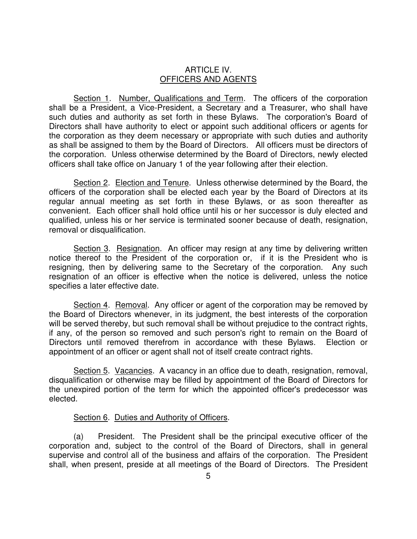#### ARTICLE IV. OFFICERS AND AGENTS

 Section 1. Number, Qualifications and Term. The officers of the corporation shall be a President, a Vice-President, a Secretary and a Treasurer, who shall have such duties and authority as set forth in these Bylaws. The corporation's Board of Directors shall have authority to elect or appoint such additional officers or agents for the corporation as they deem necessary or appropriate with such duties and authority as shall be assigned to them by the Board of Directors. All officers must be directors of the corporation. Unless otherwise determined by the Board of Directors, newly elected officers shall take office on January 1 of the year following after their election.

Section 2. Election and Tenure. Unless otherwise determined by the Board, the officers of the corporation shall be elected each year by the Board of Directors at its regular annual meeting as set forth in these Bylaws, or as soon thereafter as convenient. Each officer shall hold office until his or her successor is duly elected and qualified, unless his or her service is terminated sooner because of death, resignation, removal or disqualification.

Section 3. Resignation. An officer may resign at any time by delivering written notice thereof to the President of the corporation or, if it is the President who is resigning, then by delivering same to the Secretary of the corporation. Any such resignation of an officer is effective when the notice is delivered, unless the notice specifies a later effective date.

Section 4. Removal. Any officer or agent of the corporation may be removed by the Board of Directors whenever, in its judgment, the best interests of the corporation will be served thereby, but such removal shall be without prejudice to the contract rights, if any, of the person so removed and such person's right to remain on the Board of Directors until removed therefrom in accordance with these Bylaws. Election or appointment of an officer or agent shall not of itself create contract rights.

Section 5. Vacancies. A vacancy in an office due to death, resignation, removal, disqualification or otherwise may be filled by appointment of the Board of Directors for the unexpired portion of the term for which the appointed officer's predecessor was elected.

### Section 6. Duties and Authority of Officers.

(a) President. The President shall be the principal executive officer of the corporation and, subject to the control of the Board of Directors, shall in general supervise and control all of the business and affairs of the corporation. The President shall, when present, preside at all meetings of the Board of Directors. The President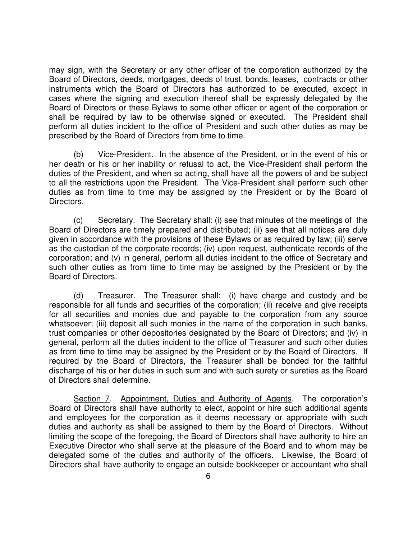may sign, with the Secretary or any other officer of the corporation authorized by the Board of Directors, deeds, mortgages, deeds of trust, bonds, leases, contracts or other instruments which the Board of Directors has authorized to be executed, except in cases where the signing and execution thereof shall be expressly delegated by the Board of Directors or these Bylaws to some other officer or agent of the corporation or shall be required by law to be otherwise signed or executed. The President shall perform all duties incident to the office of President and such other duties as may be prescribed by the Board of Directors from time to time.

(b) Vice-President. In the absence of the President, or in the event of his or her death or his or her inability or refusal to act, the Vice-President shall perform the duties of the President, and when so acting, shall have all the powers of and be subject to all the restrictions upon the President. The Vice-President shall perform such other duties as from time to time may be assigned by the President or by the Board of Directors.

(c) Secretary. The Secretary shall: (i) see that minutes of the meetings of the Board of Directors are timely prepared and distributed; (ii) see that all notices are duly given in accordance with the provisions of these Bylaws or as required by law; (iii) serve as the custodian of the corporate records; (iv) upon request, authenticate records of the corporation; and (v) in general, perform all duties incident to the office of Secretary and such other duties as from time to time may be assigned by the President or by the Board of Directors.

(d) Treasurer. The Treasurer shall: (i) have charge and custody and be responsible for all funds and securities of the corporation; (ii) receive and give receipts for all securities and monies due and payable to the corporation from any source whatsoever; (iii) deposit all such monies in the name of the corporation in such banks, trust companies or other depositories designated by the Board of Directors; and (iv) in general, perform all the duties incident to the office of Treasurer and such other duties as from time to time may be assigned by the President or by the Board of Directors. If required by the Board of Directors, the Treasurer shall be bonded for the faithful discharge of his or her duties in such sum and with such surety or sureties as the Board of Directors shall determine.

Section 7. Appointment, Duties and Authority of Agents. The corporation's Board of Directors shall have authority to elect, appoint or hire such additional agents and employees for the corporation as it deems necessary or appropriate with such duties and authority as shall be assigned to them by the Board of Directors. Without limiting the scope of the foregoing, the Board of Directors shall have authority to hire an Executive Director who shall serve at the pleasure of the Board and to whom may be delegated some of the duties and authority of the officers. Likewise, the Board of Directors shall have authority to engage an outside bookkeeper or accountant who shall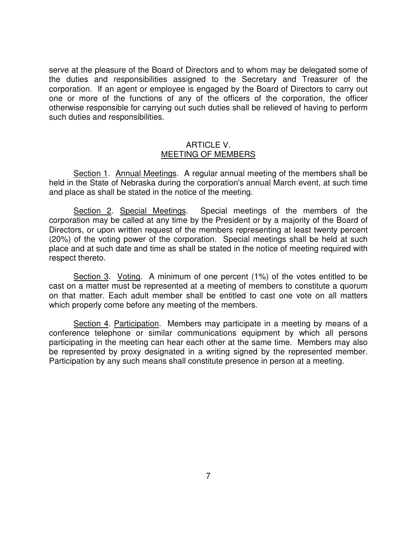serve at the pleasure of the Board of Directors and to whom may be delegated some of the duties and responsibilities assigned to the Secretary and Treasurer of the corporation. If an agent or employee is engaged by the Board of Directors to carry out one or more of the functions of any of the officers of the corporation, the officer otherwise responsible for carrying out such duties shall be relieved of having to perform such duties and responsibilities.

#### ARTICLE V. MEETING OF MEMBERS

Section 1. Annual Meetings. A regular annual meeting of the members shall be held in the State of Nebraska during the corporation's annual March event, at such time and place as shall be stated in the notice of the meeting.

Section 2. Special Meetings. Special meetings of the members of the corporation may be called at any time by the President or by a majority of the Board of Directors, or upon written request of the members representing at least twenty percent (20%) of the voting power of the corporation. Special meetings shall be held at such place and at such date and time as shall be stated in the notice of meeting required with respect thereto.

Section 3. Voting. A minimum of one percent (1%) of the votes entitled to be cast on a matter must be represented at a meeting of members to constitute a quorum on that matter. Each adult member shall be entitled to cast one vote on all matters which properly come before any meeting of the members.

Section 4. Participation. Members may participate in a meeting by means of a conference telephone or similar communications equipment by which all persons participating in the meeting can hear each other at the same time. Members may also be represented by proxy designated in a writing signed by the represented member. Participation by any such means shall constitute presence in person at a meeting.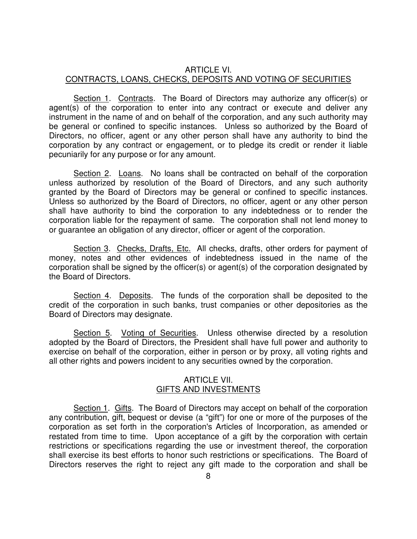### ARTICLE VI. CONTRACTS, LOANS, CHECKS, DEPOSITS AND VOTING OF SECURITIES

Section 1. Contracts. The Board of Directors may authorize any officer(s) or agent(s) of the corporation to enter into any contract or execute and deliver any instrument in the name of and on behalf of the corporation, and any such authority may be general or confined to specific instances. Unless so authorized by the Board of Directors, no officer, agent or any other person shall have any authority to bind the corporation by any contract or engagement, or to pledge its credit or render it liable pecuniarily for any purpose or for any amount.

 Section 2. Loans. No loans shall be contracted on behalf of the corporation unless authorized by resolution of the Board of Directors, and any such authority granted by the Board of Directors may be general or confined to specific instances. Unless so authorized by the Board of Directors, no officer, agent or any other person shall have authority to bind the corporation to any indebtedness or to render the corporation liable for the repayment of same. The corporation shall not lend money to or guarantee an obligation of any director, officer or agent of the corporation.

 Section 3. Checks, Drafts, Etc. All checks, drafts, other orders for payment of money, notes and other evidences of indebtedness issued in the name of the corporation shall be signed by the officer(s) or agent(s) of the corporation designated by the Board of Directors.

 Section 4. Deposits. The funds of the corporation shall be deposited to the credit of the corporation in such banks, trust companies or other depositories as the Board of Directors may designate.

 Section 5. Voting of Securities. Unless otherwise directed by a resolution adopted by the Board of Directors, the President shall have full power and authority to exercise on behalf of the corporation, either in person or by proxy, all voting rights and all other rights and powers incident to any securities owned by the corporation.

#### ARTICLE VII. GIFTS AND INVESTMENTS

 Section 1. Gifts. The Board of Directors may accept on behalf of the corporation any contribution, gift, bequest or devise (a "gift") for one or more of the purposes of the corporation as set forth in the corporation's Articles of Incorporation, as amended or restated from time to time. Upon acceptance of a gift by the corporation with certain restrictions or specifications regarding the use or investment thereof, the corporation shall exercise its best efforts to honor such restrictions or specifications. The Board of Directors reserves the right to reject any gift made to the corporation and shall be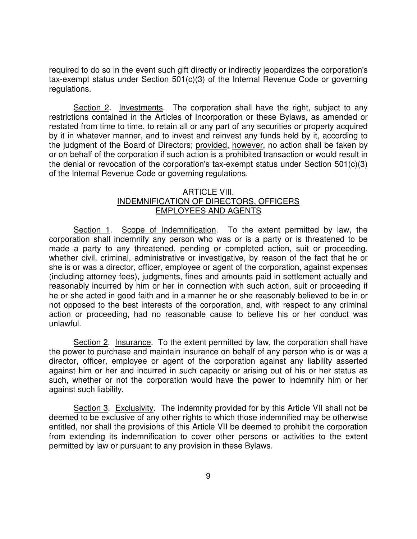required to do so in the event such gift directly or indirectly jeopardizes the corporation's tax-exempt status under Section 501(c)(3) of the Internal Revenue Code or governing regulations.

 Section 2. Investments. The corporation shall have the right, subject to any restrictions contained in the Articles of Incorporation or these Bylaws, as amended or restated from time to time, to retain all or any part of any securities or property acquired by it in whatever manner, and to invest and reinvest any funds held by it, according to the judgment of the Board of Directors; provided, however, no action shall be taken by or on behalf of the corporation if such action is a prohibited transaction or would result in the denial or revocation of the corporation's tax-exempt status under Section 501(c)(3) of the Internal Revenue Code or governing regulations.

## ARTICLE VIII. INDEMNIFICATION OF DIRECTORS, OFFICERS EMPLOYEES AND AGENTS

 Section 1. Scope of Indemnification. To the extent permitted by law, the corporation shall indemnify any person who was or is a party or is threatened to be made a party to any threatened, pending or completed action, suit or proceeding, whether civil, criminal, administrative or investigative, by reason of the fact that he or she is or was a director, officer, employee or agent of the corporation, against expenses (including attorney fees), judgments, fines and amounts paid in settlement actually and reasonably incurred by him or her in connection with such action, suit or proceeding if he or she acted in good faith and in a manner he or she reasonably believed to be in or not opposed to the best interests of the corporation, and, with respect to any criminal action or proceeding, had no reasonable cause to believe his or her conduct was unlawful.

 Section 2. Insurance. To the extent permitted by law, the corporation shall have the power to purchase and maintain insurance on behalf of any person who is or was a director, officer, employee or agent of the corporation against any liability asserted against him or her and incurred in such capacity or arising out of his or her status as such, whether or not the corporation would have the power to indemnify him or her against such liability.

 Section 3. Exclusivity. The indemnity provided for by this Article VII shall not be deemed to be exclusive of any other rights to which those indemnified may be otherwise entitled, nor shall the provisions of this Article VII be deemed to prohibit the corporation from extending its indemnification to cover other persons or activities to the extent permitted by law or pursuant to any provision in these Bylaws.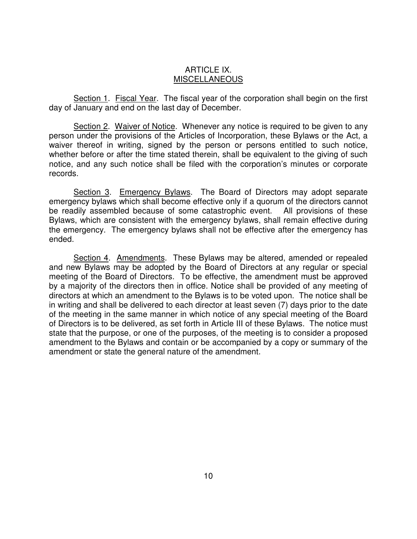#### ARTICLE IX. MISCELLANEOUS

 Section 1. Fiscal Year. The fiscal year of the corporation shall begin on the first day of January and end on the last day of December.

Section 2. Waiver of Notice. Whenever any notice is required to be given to any person under the provisions of the Articles of Incorporation, these Bylaws or the Act, a waiver thereof in writing, signed by the person or persons entitled to such notice, whether before or after the time stated therein, shall be equivalent to the giving of such notice, and any such notice shall be filed with the corporation's minutes or corporate records.

 Section 3. Emergency Bylaws. The Board of Directors may adopt separate emergency bylaws which shall become effective only if a quorum of the directors cannot be readily assembled because of some catastrophic event. All provisions of these Bylaws, which are consistent with the emergency bylaws, shall remain effective during the emergency. The emergency bylaws shall not be effective after the emergency has ended.

Section 4. Amendments. These Bylaws may be altered, amended or repealed and new Bylaws may be adopted by the Board of Directors at any regular or special meeting of the Board of Directors. To be effective, the amendment must be approved by a majority of the directors then in office. Notice shall be provided of any meeting of directors at which an amendment to the Bylaws is to be voted upon. The notice shall be in writing and shall be delivered to each director at least seven (7) days prior to the date of the meeting in the same manner in which notice of any special meeting of the Board of Directors is to be delivered, as set forth in Article III of these Bylaws. The notice must state that the purpose, or one of the purposes, of the meeting is to consider a proposed amendment to the Bylaws and contain or be accompanied by a copy or summary of the amendment or state the general nature of the amendment.